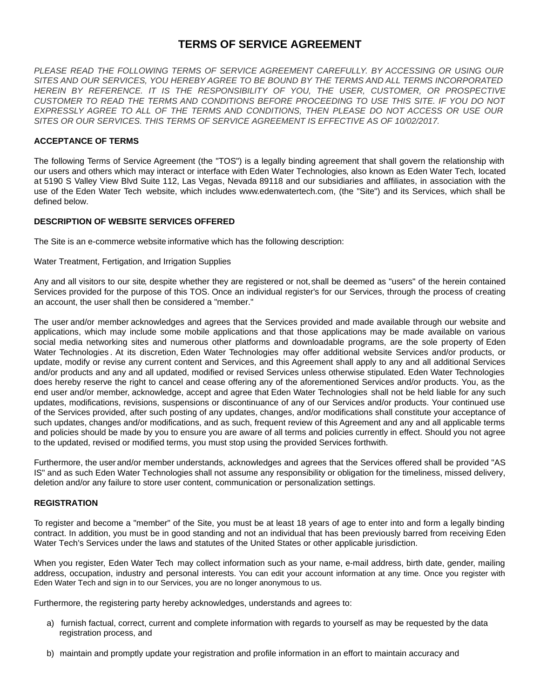# **TERMS OF SERVICE AGREEMENT**

*PLEASE READ THE FOLLOWING TERMS OF SERVICE AGREEMENT CAREFULLY. BY ACCESSING OR USING OUR SITES AND OUR SERVICES, YOU HEREBY AGREE TO BE BOUND BY THE TERMS AND ALL TERMS INCORPORATED HEREIN BY REFERENCE. IT IS THE RESPONSIBILITY OF YOU, THE USER, CUSTOMER, OR PROSPECTIVE CUSTOMER TO READ THE TERMS AND CONDITIONS BEFORE PROCEEDING TO USE THIS SITE. IF YOU DO NOT EXPRESSLY AGREE TO ALL OF THE TERMS AND CONDITIONS, THEN PLEASE DO NOT ACCESS OR USE OUR SITES OR OUR SERVICES. THIS TERMS OF SERVICE AGREEMENT IS EFFECTIVE AS OF 10/02/2017.*

# **ACCEPTANCE OF TERMS**

The following Terms of Service Agreement (the "TOS") is a legally binding agreement that shall govern the relationship with our users and others which may interact or interface with Eden Water Technologies, also known as Eden Water Tech, located at 5190 S Valley View Blvd Suite 112, Las Vegas, Nevada 89118 and our subsidiaries and affiliates, in association with the use of the Eden Water Tech website, which includes www.edenwatertech.com, (the "Site") and its Services, which shall be defined below.

# **DESCRIPTION OF WEBSITE SERVICES OFFERED**

The Site is an e-commerce website informative which has the following description:

### Water Treatment, Fertigation, and Irrigation Supplies

Any and all visitors to our site, despite whether they are registered or not, shall be deemed as "users" of the herein contained Services provided for the purpose of this TOS. Once an individual register's for our Services, through the process of creating an account, the user shall then be considered a "member."

The user and/or member acknowledges and agrees that the Services provided and made available through our website and applications, which may include some mobile applications and that those applications may be made available on various social media networking sites and numerous other platforms and downloadable programs, are the sole property of Eden Water Technologies . At its discretion, Eden Water Technologies may offer additional website Services and/or products, or update, modify or revise any current content and Services, and this Agreement shall apply to any and all additional Services and/or products and any and all updated, modified or revised Services unless otherwise stipulated. Eden Water Technologies does hereby reserve the right to cancel and cease offering any of the aforementioned Services and/or products. You, as the end user and/or member, acknowledge, accept and agree that Eden Water Technologies shall not be held liable for any such updates, modifications, revisions, suspensions or discontinuance of any of our Services and/or products. Your continued use of the Services provided, after such posting of any updates, changes, and/or modifications shall constitute your acceptance of such updates, changes and/or modifications, and as such, frequent review of this Agreement and any and all applicable terms and policies should be made by you to ensure you are aware of all terms and policies currently in effect. Should you not agree to the updated, revised or modified terms, you must stop using the provided Services forthwith.

Furthermore, the user and/or member understands, acknowledges and agrees that the Services offered shall be provided "AS IS" and as such Eden Water Technologies shall not assume any responsibility or obligation for the timeliness, missed delivery, deletion and/or any failure to store user content, communication or personalization settings.

### **REGISTRATION**

To register and become a "member" of the Site, you must be at least 18 years of age to enter into and form a legally binding contract. In addition, you must be in good standing and not an individual that has been previously barred from receiving Eden Water Tech's Services under the laws and statutes of the United States or other applicable jurisdiction.

When you register, Eden Water Tech may collect information such as your name, e-mail address, birth date, gender, mailing address, occupation, industry and personal interests. You can edit your account information at any time. Once you register with Eden Water Tech and sign in to our Services, you are no longer anonymous to us.

Furthermore, the registering party hereby acknowledges, understands and agrees to:

- a) furnish factual, correct, current and complete information with regards to yourself as may be requested by the data registration process, and
- b) maintain and promptly update your registration and profile information in an effort to maintain accuracy and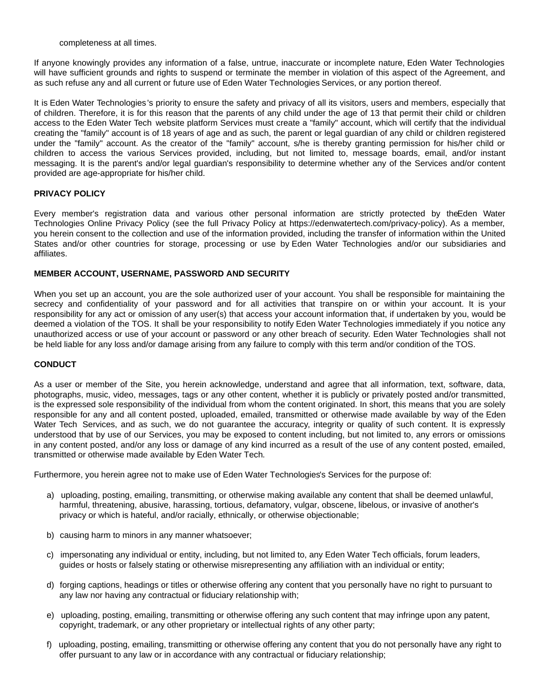completeness at all times.

If anyone knowingly provides any information of a false, untrue, inaccurate or incomplete nature, Eden Water Technologies will have sufficient grounds and rights to suspend or terminate the member in violation of this aspect of the Agreement, and as such refuse any and all current or future use of Eden Water Technologies Services, or any portion thereof.

It is Eden Water Technologies 's priority to ensure the safety and privacy of all its visitors, users and members, especially that of children. Therefore, it is for this reason that the parents of any child under the age of 13 that permit their child or children access to the Eden Water Tech website platform Services must create a "family" account, which will certify that the individual creating the "family" account is of 18 years of age and as such, the parent or legal guardian of any child or children registered under the "family" account. As the creator of the "family" account, s/he is thereby granting permission for his/her child or children to access the various Services provided, including, but not limited to, message boards, email, and/or instant messaging. It is the parent's and/or legal guardian's responsibility to determine whether any of the Services and/or content provided are age-appropriate for his/her child.

### **PRIVACY POLICY**

Every member's registration data and various other personal information are strictly protected by theEden Water Technologies Online Privacy Policy (see the full Privacy Policy at https://edenwatertech.com/privacy-policy). As a member, you herein consent to the collection and use of the information provided, including the transfer of information within the United States and/or other countries for storage, processing or use by Eden Water Technologies and/or our subsidiaries and affiliates.

# **MEMBER ACCOUNT, USERNAME, PASSWORD AND SECURITY**

When you set up an account, you are the sole authorized user of your account. You shall be responsible for maintaining the secrecy and confidentiality of your password and for all activities that transpire on or within your account. It is your responsibility for any act or omission of any user(s) that access your account information that, if undertaken by you, would be deemed a violation of the TOS. It shall be your responsibility to notify Eden Water Technologies immediately if you notice any unauthorized access or use of your account or password or any other breach of security. Eden Water Technologies shall not be held liable for any loss and/or damage arising from any failure to comply with this term and/or condition of the TOS.

# **CONDUCT**

As a user or member of the Site, you herein acknowledge, understand and agree that all information, text, software, data, photographs, music, video, messages, tags or any other content, whether it is publicly or privately posted and/or transmitted, is the expressed sole responsibility of the individual from whom the content originated. In short, this means that you are solely responsible for any and all content posted, uploaded, emailed, transmitted or otherwise made available by way of the Eden Water Tech Services, and as such, we do not guarantee the accuracy, integrity or quality of such content. It is expressly understood that by use of our Services, you may be exposed to content including, but not limited to, any errors or omissions in any content posted, and/or any loss or damage of any kind incurred as a result of the use of any content posted, emailed, transmitted or otherwise made available by Eden Water Tech.

Furthermore, you herein agree not to make use of Eden Water Technologies's Services for the purpose of:

- a) uploading, posting, emailing, transmitting, or otherwise making available any content that shall be deemed unlawful, harmful, threatening, abusive, harassing, tortious, defamatory, vulgar, obscene, libelous, or invasive of another's privacy or which is hateful, and/or racially, ethnically, or otherwise objectionable;
- b) causing harm to minors in any manner whatsoever;
- c) impersonating any individual or entity, including, but not limited to, any Eden Water Tech officials, forum leaders, guides or hosts or falsely stating or otherwise misrepresenting any affiliation with an individual or entity;
- d) forging captions, headings or titles or otherwise offering any content that you personally have no right to pursuant to any law nor having any contractual or fiduciary relationship with;
- e) uploading, posting, emailing, transmitting or otherwise offering any such content that may infringe upon any patent, copyright, trademark, or any other proprietary or intellectual rights of any other party;
- f) uploading, posting, emailing, transmitting or otherwise offering any content that you do not personally have any right to offer pursuant to any law or in accordance with any contractual or fiduciary relationship;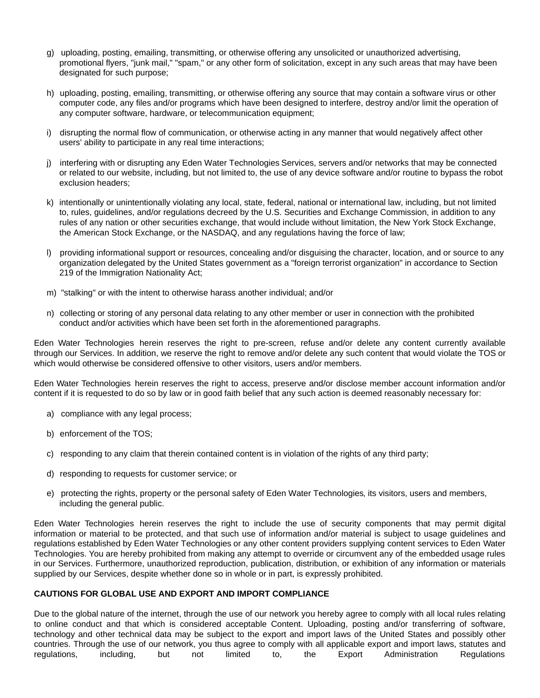- g) uploading, posting, emailing, transmitting, or otherwise offering any unsolicited or unauthorized advertising, promotional flyers, "junk mail," "spam," or any other form of solicitation, except in any such areas that may have been designated for such purpose;
- h) uploading, posting, emailing, transmitting, or otherwise offering any source that may contain a software virus or other computer code, any files and/or programs which have been designed to interfere, destroy and/or limit the operation of any computer software, hardware, or telecommunication equipment;
- i) disrupting the normal flow of communication, or otherwise acting in any manner that would negatively affect other users' ability to participate in any real time interactions;
- j) interfering with or disrupting any Eden Water Technologies Services, servers and/or networks that may be connected or related to our website, including, but not limited to, the use of any device software and/or routine to bypass the robot exclusion headers;
- k) intentionally or unintentionally violating any local, state, federal, national or international law, including, but not limited to, rules, guidelines, and/or regulations decreed by the U.S. Securities and Exchange Commission, in addition to any rules of any nation or other securities exchange, that would include without limitation, the New York Stock Exchange, the American Stock Exchange, or the NASDAQ, and any regulations having the force of law;
- l) providing informational support or resources, concealing and/or disguising the character, location, and or source to any organization delegated by the United States government as a "foreign terrorist organization" in accordance to Section 219 of the Immigration Nationality Act;
- m) "stalking" or with the intent to otherwise harass another individual; and/or
- n) collecting or storing of any personal data relating to any other member or user in connection with the prohibited conduct and/or activities which have been set forth in the aforementioned paragraphs.

Eden Water Technologies herein reserves the right to pre-screen, refuse and/or delete any content currently available through our Services. In addition, we reserve the right to remove and/or delete any such content that would violate the TOS or which would otherwise be considered offensive to other visitors, users and/or members.

Eden Water Technologies herein reserves the right to access, preserve and/or disclose member account information and/or content if it is requested to do so by law or in good faith belief that any such action is deemed reasonably necessary for:

- a) compliance with any legal process;
- b) enforcement of the TOS;
- c) responding to any claim that therein contained content is in violation of the rights of any third party;
- d) responding to requests for customer service; or
- e) protecting the rights, property or the personal safety of Eden Water Technologies, its visitors, users and members, including the general public.

Eden Water Technologies herein reserves the right to include the use of security components that may permit digital information or material to be protected, and that such use of information and/or material is subject to usage guidelines and regulations established by Eden Water Technologies or any other content providers supplying content services to Eden Water Technologies. You are hereby prohibited from making any attempt to override or circumvent any of the embedded usage rules in our Services. Furthermore, unauthorized reproduction, publication, distribution, or exhibition of any information or materials supplied by our Services, despite whether done so in whole or in part, is expressly prohibited.

# **CAUTIONS FOR GLOBAL USE AND EXPORT AND IMPORT COMPLIANCE**

Due to the global nature of the internet, through the use of our network you hereby agree to comply with all local rules relating to online conduct and that which is considered acceptable Content. Uploading, posting and/or transferring of software, technology and other technical data may be subject to the export and import laws of the United States and possibly other countries. Through the use of our network, you thus agree to comply with all applicable export and import laws, statutes and regulations, including, but not limited to, the Export Administration Regulations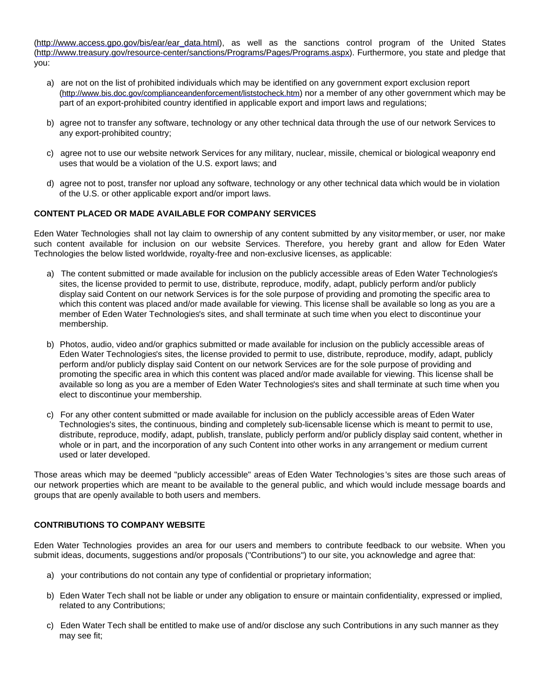[\(http://www.access.gpo.gov/bis/ear/ear\\_data.html](http://www.access.gpo.gov/bis/ear/ear_data.html)), as well as the sanctions control program of the United States [\(http://www.treasury.gov/resource-center/sanctions/Programs/Pages/Programs.aspx](http://www.treasury.gov/resource-center/sanctions/Programs/Pages/Programs.aspx)). Furthermore, you state and pledge that you:

- a) are not on the list of prohibited individuals which may be identified on any government export exclusion report (<http://www.bis.doc.gov/complianceandenforcement/liststocheck.htm>) nor a member of any other government which may be part of an export-prohibited country identified in applicable export and import laws and regulations;
- b) agree not to transfer any software, technology or any other technical data through the use of our network Services to any export-prohibited country;
- c) agree not to use our website network Services for any military, nuclear, missile, chemical or biological weaponry end uses that would be a violation of the U.S. export laws; and
- d) agree not to post, transfer nor upload any software, technology or any other technical data which would be in violation of the U.S. or other applicable export and/or import laws.

# **CONTENT PLACED OR MADE AVAILABLE FOR COMPANY SERVICES**

Eden Water Technologies shall not lay claim to ownership of any content submitted by any visitor member, or user, nor make such content available for inclusion on our website Services. Therefore, you hereby grant and allow for Eden Water Technologies the below listed worldwide, royalty-free and non-exclusive licenses, as applicable:

- a) The content submitted or made available for inclusion on the publicly accessible areas of Eden Water Technologies's sites, the license provided to permit to use, distribute, reproduce, modify, adapt, publicly perform and/or publicly display said Content on our network Services is for the sole purpose of providing and promoting the specific area to which this content was placed and/or made available for viewing. This license shall be available so long as you are a member of Eden Water Technologies's sites, and shall terminate at such time when you elect to discontinue your membership.
- b) Photos, audio, video and/or graphics submitted or made available for inclusion on the publicly accessible areas of Eden Water Technologies's sites, the license provided to permit to use, distribute, reproduce, modify, adapt, publicly perform and/or publicly display said Content on our network Services are for the sole purpose of providing and promoting the specific area in which this content was placed and/or made available for viewing. This license shall be available so long as you are a member of Eden Water Technologies's sites and shall terminate at such time when you elect to discontinue your membership.
- c) For any other content submitted or made available for inclusion on the publicly accessible areas of Eden Water Technologies's sites, the continuous, binding and completely sub-licensable license which is meant to permit to use, distribute, reproduce, modify, adapt, publish, translate, publicly perform and/or publicly display said content, whether in whole or in part, and the incorporation of any such Content into other works in any arrangement or medium current used or later developed.

Those areas which may be deemed "publicly accessible" areas of Eden Water Technologies 's sites are those such areas of our network properties which are meant to be available to the general public, and which would include message boards and groups that are openly available to both users and members.

# **CONTRIBUTIONS TO COMPANY WEBSITE**

Eden Water Technologies provides an area for our users and members to contribute feedback to our website. When you submit ideas, documents, suggestions and/or proposals ("Contributions") to our site, you acknowledge and agree that:

- a) your contributions do not contain any type of confidential or proprietary information;
- b) Eden Water Tech shall not be liable or under any obligation to ensure or maintain confidentiality, expressed or implied, related to any Contributions;
- c) Eden Water Tech shall be entitled to make use of and/or disclose any such Contributions in any such manner as they may see fit;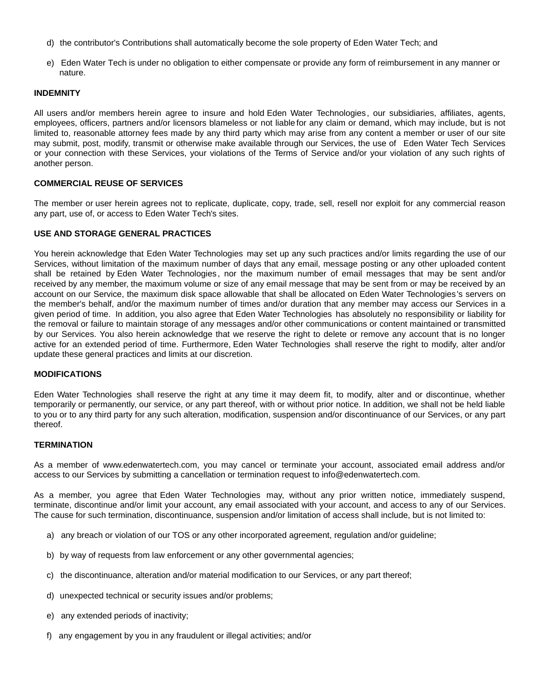- d) the contributor's Contributions shall automatically become the sole property of Eden Water Tech; and
- e) Eden Water Tech is under no obligation to either compensate or provide any form of reimbursement in any manner or nature.

### **INDEMNITY**

All users and/or members herein agree to insure and hold Eden Water Technologies , our subsidiaries, affiliates, agents, employees, officers, partners and/or licensors blameless or not liable for any claim or demand, which may include, but is not limited to, reasonable attorney fees made by any third party which may arise from any content a member or user of our site may submit, post, modify, transmit or otherwise make available through our Services, the use of Eden Water Tech Services or your connection with these Services, your violations of the Terms of Service and/or your violation of any such rights of another person.

# **COMMERCIAL REUSE OF SERVICES**

The member or user herein agrees not to replicate, duplicate, copy, trade, sell, resell nor exploit for any commercial reason any part, use of, or access to Eden Water Tech's sites.

# **USE AND STORAGE GENERAL PRACTICES**

You herein acknowledge that Eden Water Technologies may set up any such practices and/or limits regarding the use of our Services, without limitation of the maximum number of days that any email, message posting or any other uploaded content shall be retained by Eden Water Technologies , nor the maximum number of email messages that may be sent and/or received by any member, the maximum volume or size of any email message that may be sent from or may be received by an account on our Service, the maximum disk space allowable that shall be allocated on Eden Water Technologies 's servers on the member's behalf, and/or the maximum number of times and/or duration that any member may access our Services in a given period of time. In addition, you also agree that Eden Water Technologies has absolutely no responsibility or liability for the removal or failure to maintain storage of any messages and/or other communications or content maintained or transmitted by our Services. You also herein acknowledge that we reserve the right to delete or remove any account that is no longer active for an extended period of time. Furthermore, Eden Water Technologies shall reserve the right to modify, alter and/or update these general practices and limits at our discretion.

### **MODIFICATIONS**

Eden Water Technologies shall reserve the right at any time it may deem fit, to modify, alter and or discontinue, whether temporarily or permanently, our service, or any part thereof, with or without prior notice. In addition, we shall not be held liable to you or to any third party for any such alteration, modification, suspension and/or discontinuance of our Services, or any part thereof.

### **TERMINATION**

As a member of www.edenwatertech.com, you may cancel or terminate your account, associated email address and/or access to our Services by submitting a cancellation or termination request to info@edenwatertech.com.

As a member, you agree that Eden Water Technologies may, without any prior written notice, immediately suspend, terminate, discontinue and/or limit your account, any email associated with your account, and access to any of our Services. The cause for such termination, discontinuance, suspension and/or limitation of access shall include, but is not limited to:

- a) any breach or violation of our TOS or any other incorporated agreement, regulation and/or guideline;
- b) by way of requests from law enforcement or any other governmental agencies;
- c) the discontinuance, alteration and/or material modification to our Services, or any part thereof;
- d) unexpected technical or security issues and/or problems;
- e) any extended periods of inactivity;
- f) any engagement by you in any fraudulent or illegal activities; and/or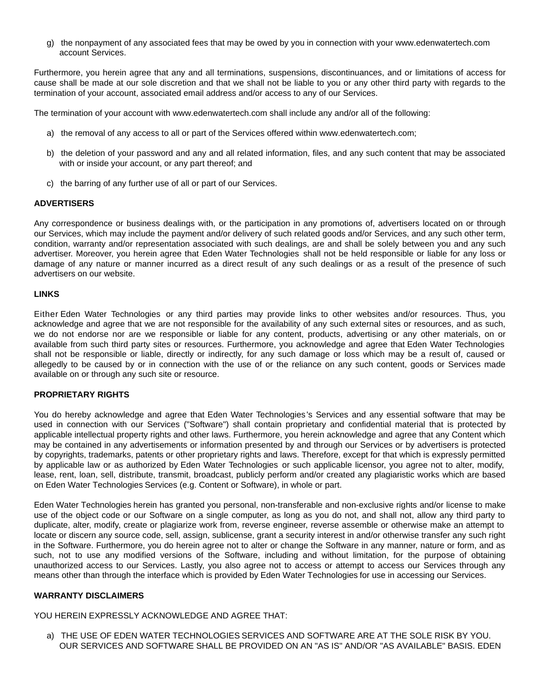g) the nonpayment of any associated fees that may be owed by you in connection with your www.edenwatertech.com account Services.

Furthermore, you herein agree that any and all terminations, suspensions, discontinuances, and or limitations of access for cause shall be made at our sole discretion and that we shall not be liable to you or any other third party with regards to the termination of your account, associated email address and/or access to any of our Services.

The termination of your account with www.edenwatertech.com shall include any and/or all of the following:

- a) the removal of any access to all or part of the Services offered within www.edenwatertech.com;
- b) the deletion of your password and any and all related information, files, and any such content that may be associated with or inside your account, or any part thereof; and
- c) the barring of any further use of all or part of our Services.

# **ADVERTISERS**

Any correspondence or business dealings with, or the participation in any promotions of, advertisers located on or through our Services, which may include the payment and/or delivery of such related goods and/or Services, and any such other term, condition, warranty and/or representation associated with such dealings, are and shall be solely between you and any such advertiser. Moreover, you herein agree that Eden Water Technologies shall not be held responsible or liable for any loss or damage of any nature or manner incurred as a direct result of any such dealings or as a result of the presence of such advertisers on our website.

# **LINKS**

Either Eden Water Technologies or any third parties may provide links to other websites and/or resources. Thus, you acknowledge and agree that we are not responsible for the availability of any such external sites or resources, and as such, we do not endorse nor are we responsible or liable for any content, products, advertising or any other materials, on or available from such third party sites or resources. Furthermore, you acknowledge and agree that Eden Water Technologies shall not be responsible or liable, directly or indirectly, for any such damage or loss which may be a result of, caused or allegedly to be caused by or in connection with the use of or the reliance on any such content, goods or Services made available on or through any such site or resource.

### **PROPRIETARY RIGHTS**

You do hereby acknowledge and agree that Eden Water Technologies 's Services and any essential software that may be used in connection with our Services ("Software") shall contain proprietary and confidential material that is protected by applicable intellectual property rights and other laws. Furthermore, you herein acknowledge and agree that any Content which may be contained in any advertisements or information presented by and through our Services or by advertisers is protected by copyrights, trademarks, patents or other proprietary rights and laws. Therefore, except for that which is expressly permitted by applicable law or as authorized by Eden Water Technologies or such applicable licensor, you agree not to alter, modify, lease, rent, loan, sell, distribute, transmit, broadcast, publicly perform and/or created any plagiaristic works which are based on Eden Water Technologies Services (e.g. Content or Software), in whole or part.

Eden Water Technologies herein has granted you personal, non-transferable and non-exclusive rights and/or license to make use of the object code or our Software on a single computer, as long as you do not, and shall not, allow any third party to duplicate, alter, modify, create or plagiarize work from, reverse engineer, reverse assemble or otherwise make an attempt to locate or discern any source code, sell, assign, sublicense, grant a security interest in and/or otherwise transfer any such right in the Software. Furthermore, you do herein agree not to alter or change the Software in any manner, nature or form, and as such, not to use any modified versions of the Software, including and without limitation, for the purpose of obtaining unauthorized access to our Services. Lastly, you also agree not to access or attempt to access our Services through any means other than through the interface which is provided by Eden Water Technologies for use in accessing our Services.

# **WARRANTY DISCLAIMERS**

YOU HEREIN EXPRESSLY ACKNOWLEDGE AND AGREE THAT:

a) THE USE OF EDEN WATER TECHNOLOGIES SERVICES AND SOFTWARE ARE AT THE SOLE RISK BY YOU. OUR SERVICES AND SOFTWARE SHALL BE PROVIDED ON AN "AS IS" AND/OR "AS AVAILABLE" BASIS. EDEN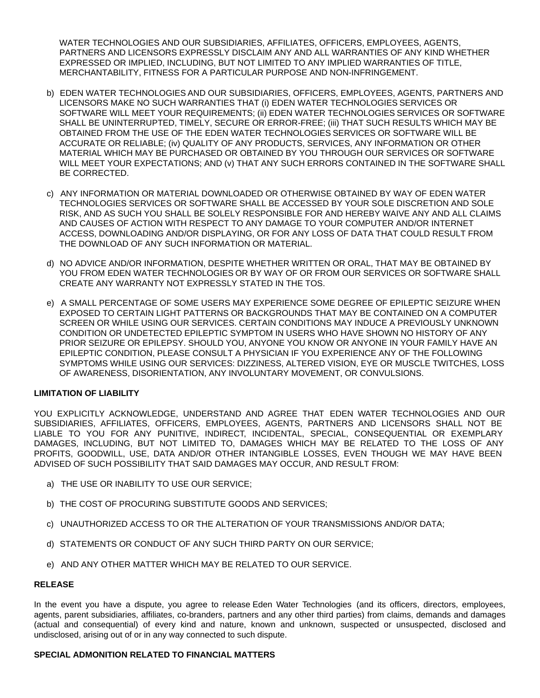WATER TECHNOLOGIES AND OUR SUBSIDIARIES, AFFILIATES, OFFICERS, EMPLOYEES, AGENTS, PARTNERS AND LICENSORS EXPRESSLY DISCLAIM ANY AND ALL WARRANTIES OF ANY KIND WHETHER EXPRESSED OR IMPLIED, INCLUDING, BUT NOT LIMITED TO ANY IMPLIED WARRANTIES OF TITLE, MERCHANTABILITY, FITNESS FOR A PARTICULAR PURPOSE AND NON-INFRINGEMENT.

- b) EDEN WATER TECHNOLOGIES AND OUR SUBSIDIARIES, OFFICERS, EMPLOYEES, AGENTS, PARTNERS AND LICENSORS MAKE NO SUCH WARRANTIES THAT (i) EDEN WATER TECHNOLOGIES SERVICES OR SOFTWARE WILL MEET YOUR REQUIREMENTS; (ii) EDEN WATER TECHNOLOGIES SERVICES OR SOFTWARE SHALL BE UNINTERRUPTED, TIMELY, SECURE OR ERROR-FREE; (iii) THAT SUCH RESULTS WHICH MAY BE OBTAINED FROM THE USE OF THE EDEN WATER TECHNOLOGIES SERVICES OR SOFTWARE WILL BE ACCURATE OR RELIABLE; (iv) QUALITY OF ANY PRODUCTS, SERVICES, ANY INFORMATION OR OTHER MATERIAL WHICH MAY BE PURCHASED OR OBTAINED BY YOU THROUGH OUR SERVICES OR SOFTWARE WILL MEET YOUR EXPECTATIONS; AND (v) THAT ANY SUCH ERRORS CONTAINED IN THE SOFTWARE SHALL BE CORRECTED.
- c) ANY INFORMATION OR MATERIAL DOWNLOADED OR OTHERWISE OBTAINED BY WAY OF EDEN WATER TECHNOLOGIES SERVICES OR SOFTWARE SHALL BE ACCESSED BY YOUR SOLE DISCRETION AND SOLE RISK, AND AS SUCH YOU SHALL BE SOLELY RESPONSIBLE FOR AND HEREBY WAIVE ANY AND ALL CLAIMS AND CAUSES OF ACTION WITH RESPECT TO ANY DAMAGE TO YOUR COMPUTER AND/OR INTERNET ACCESS, DOWNLOADING AND/OR DISPLAYING, OR FOR ANY LOSS OF DATA THAT COULD RESULT FROM THE DOWNLOAD OF ANY SUCH INFORMATION OR MATERIAL.
- d) NO ADVICE AND/OR INFORMATION, DESPITE WHETHER WRITTEN OR ORAL, THAT MAY BE OBTAINED BY YOU FROM EDEN WATER TECHNOLOGIES OR BY WAY OF OR FROM OUR SERVICES OR SOFTWARE SHALL CREATE ANY WARRANTY NOT EXPRESSLY STATED IN THE TOS.
- e) A SMALL PERCENTAGE OF SOME USERS MAY EXPERIENCE SOME DEGREE OF EPILEPTIC SEIZURE WHEN EXPOSED TO CERTAIN LIGHT PATTERNS OR BACKGROUNDS THAT MAY BE CONTAINED ON A COMPUTER SCREEN OR WHILE USING OUR SERVICES. CERTAIN CONDITIONS MAY INDUCE A PREVIOUSLY UNKNOWN CONDITION OR UNDETECTED EPILEPTIC SYMPTOM IN USERS WHO HAVE SHOWN NO HISTORY OF ANY PRIOR SEIZURE OR EPILEPSY. SHOULD YOU, ANYONE YOU KNOW OR ANYONE IN YOUR FAMILY HAVE AN EPILEPTIC CONDITION, PLEASE CONSULT A PHYSICIAN IF YOU EXPERIENCE ANY OF THE FOLLOWING SYMPTOMS WHILE USING OUR SERVICES: DIZZINESS, ALTERED VISION, EYE OR MUSCLE TWITCHES, LOSS OF AWARENESS, DISORIENTATION, ANY INVOLUNTARY MOVEMENT, OR CONVULSIONS.

# **LIMITATION OF LIABILITY**

YOU EXPLICITLY ACKNOWLEDGE, UNDERSTAND AND AGREE THAT EDEN WATER TECHNOLOGIES AND OUR SUBSIDIARIES, AFFILIATES, OFFICERS, EMPLOYEES, AGENTS, PARTNERS AND LICENSORS SHALL NOT BE LIABLE TO YOU FOR ANY PUNITIVE, INDIRECT, INCIDENTAL, SPECIAL, CONSEQUENTIAL OR EXEMPLARY DAMAGES, INCLUDING, BUT NOT LIMITED TO, DAMAGES WHICH MAY BE RELATED TO THE LOSS OF ANY PROFITS, GOODWILL, USE, DATA AND/OR OTHER INTANGIBLE LOSSES, EVEN THOUGH WE MAY HAVE BEEN ADVISED OF SUCH POSSIBILITY THAT SAID DAMAGES MAY OCCUR, AND RESULT FROM:

- a) THE USE OR INABILITY TO USE OUR SERVICE;
- b) THE COST OF PROCURING SUBSTITUTE GOODS AND SERVICES;
- c) UNAUTHORIZED ACCESS TO OR THE ALTERATION OF YOUR TRANSMISSIONS AND/OR DATA;
- d) STATEMENTS OR CONDUCT OF ANY SUCH THIRD PARTY ON OUR SERVICE;
- e) AND ANY OTHER MATTER WHICH MAY BE RELATED TO OUR SERVICE.

### **RELEASE**

In the event you have a dispute, you agree to release Eden Water Technologies (and its officers, directors, employees, agents, parent subsidiaries, affiliates, co-branders, partners and any other third parties) from claims, demands and damages (actual and consequential) of every kind and nature, known and unknown, suspected or unsuspected, disclosed and undisclosed, arising out of or in any way connected to such dispute.

### **SPECIAL ADMONITION RELATED TO FINANCIAL MATTERS**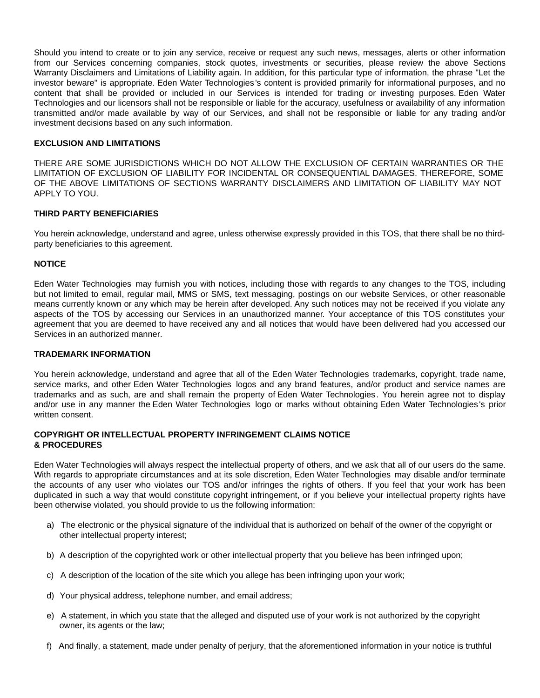Should you intend to create or to join any service, receive or request any such news, messages, alerts or other information from our Services concerning companies, stock quotes, investments or securities, please review the above Sections Warranty Disclaimers and Limitations of Liability again. In addition, for this particular type of information, the phrase "Let the investor beware" is appropriate. Eden Water Technologies 's content is provided primarily for informational purposes, and no content that shall be provided or included in our Services is intended for trading or investing purposes. Eden Water Technologies and our licensors shall not be responsible or liable for the accuracy, usefulness or availability of any information transmitted and/or made available by way of our Services, and shall not be responsible or liable for any trading and/or investment decisions based on any such information.

### **EXCLUSION AND LIMITATIONS**

THERE ARE SOME JURISDICTIONS WHICH DO NOT ALLOW THE EXCLUSION OF CERTAIN WARRANTIES OR THE LIMITATION OF EXCLUSION OF LIABILITY FOR INCIDENTAL OR CONSEQUENTIAL DAMAGES. THEREFORE, SOME OF THE ABOVE LIMITATIONS OF SECTIONS WARRANTY DISCLAIMERS AND LIMITATION OF LIABILITY MAY NOT APPLY TO YOU.

# **THIRD PARTY BENEFICIARIES**

You herein acknowledge, understand and agree, unless otherwise expressly provided in this TOS, that there shall be no thirdparty beneficiaries to this agreement.

# **NOTICE**

Eden Water Technologies may furnish you with notices, including those with regards to any changes to the TOS, including but not limited to email, regular mail, MMS or SMS, text messaging, postings on our website Services, or other reasonable means currently known or any which may be herein after developed. Any such notices may not be received if you violate any aspects of the TOS by accessing our Services in an unauthorized manner. Your acceptance of this TOS constitutes your agreement that you are deemed to have received any and all notices that would have been delivered had you accessed our Services in an authorized manner.

### **TRADEMARK INFORMATION**

You herein acknowledge, understand and agree that all of the Eden Water Technologies trademarks, copyright, trade name, service marks, and other Eden Water Technologies logos and any brand features, and/or product and service names are trademarks and as such, are and shall remain the property of Eden Water Technologies . You herein agree not to display and/or use in any manner the Eden Water Technologies logo or marks without obtaining Eden Water Technologies 's prior written consent.

# **COPYRIGHT OR INTELLECTUAL PROPERTY INFRINGEMENT CLAIMS NOTICE & PROCEDURES**

Eden Water Technologies will always respect the intellectual property of others, and we ask that all of our users do the same. With regards to appropriate circumstances and at its sole discretion, Eden Water Technologies may disable and/or terminate the accounts of any user who violates our TOS and/or infringes the rights of others. If you feel that your work has been duplicated in such a way that would constitute copyright infringement, or if you believe your intellectual property rights have been otherwise violated, you should provide to us the following information:

- a) The electronic or the physical signature of the individual that is authorized on behalf of the owner of the copyright or other intellectual property interest;
- b) A description of the copyrighted work or other intellectual property that you believe has been infringed upon;
- c) A description of the location of the site which you allege has been infringing upon your work;
- d) Your physical address, telephone number, and email address;
- e) A statement, in which you state that the alleged and disputed use of your work is not authorized by the copyright owner, its agents or the law;
- f) And finally, a statement, made under penalty of perjury, that the aforementioned information in your notice is truthful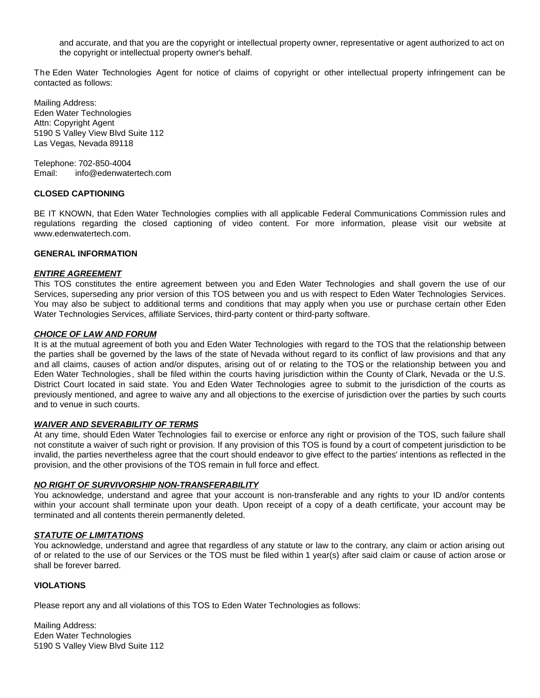and accurate, and that you are the copyright or intellectual property owner, representative or agent authorized to act on the copyright or intellectual property owner's behalf.

The Eden Water Technologies Agent for notice of claims of copyright or other intellectual property infringement can be contacted as follows:

Mailing Address: Eden Water Technologies Attn: Copyright Agent 5190 S Valley View Blvd Suite 112 Las Vegas, Nevada 89118

Telephone: 702-850-4004 Email: info@edenwatertech.com

### **CLOSED CAPTIONING**

BE IT KNOWN, that Eden Water Technologies complies with all applicable Federal Communications Commission rules and regulations regarding the closed captioning of video content. For more information, please visit our website at www.edenwatertech.com.

### **GENERAL INFORMATION**

#### *ENTIRE AGREEMENT*

This TOS constitutes the entire agreement between you and Eden Water Technologies and shall govern the use of our Services, superseding any prior version of this TOS between you and us with respect to Eden Water Technologies Services. You may also be subject to additional terms and conditions that may apply when you use or purchase certain other Eden Water Technologies Services, affiliate Services, third-party content or third-party software.

#### *CHOICE OF LAW AND FORUM*

It is at the mutual agreement of both you and Eden Water Technologies with regard to the TOS that the relationship between the parties shall be governed by the laws of the state of Nevada without regard to its conflict of law provisions and that any and all claims, causes of action and/or disputes, arising out of or relating to the TOS or the relationship between you and Eden Water Technologies , shall be filed within the courts having jurisdiction within the County of Clark, Nevada or the U.S. District Court located in said state. You and Eden Water Technologies agree to submit to the jurisdiction of the courts as previously mentioned, and agree to waive any and all objections to the exercise of jurisdiction over the parties by such courts and to venue in such courts.

### *WAIVER AND SEVERABILITY OF TERMS*

At any time, should Eden Water Technologies fail to exercise or enforce any right or provision of the TOS, such failure shall not constitute a waiver of such right or provision. If any provision of this TOS is found by a court of competent jurisdiction to be invalid, the parties nevertheless agree that the court should endeavor to give effect to the parties' intentions as reflected in the provision, and the other provisions of the TOS remain in full force and effect.

### *NO RIGHT OF SURVIVORSHIP NON-TRANSFERABILITY*

You acknowledge, understand and agree that your account is non-transferable and any rights to your ID and/or contents within your account shall terminate upon your death. Upon receipt of a copy of a death certificate, your account may be terminated and all contents therein permanently deleted.

#### *STATUTE OF LIMITATIONS*

You acknowledge, understand and agree that regardless of any statute or law to the contrary, any claim or action arising out of or related to the use of our Services or the TOS must be filed within 1 year(s) after said claim or cause of action arose or shall be forever barred.

#### **VIOLATIONS**

Please report any and all violations of this TOS to Eden Water Technologies as follows:

Mailing Address: Eden Water Technologies 5190 S Valley View Blvd Suite 112